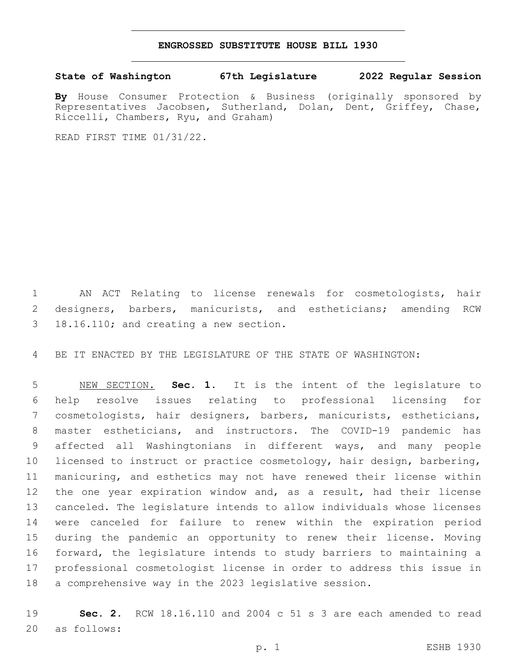## **ENGROSSED SUBSTITUTE HOUSE BILL 1930**

## **State of Washington 67th Legislature 2022 Regular Session**

**By** House Consumer Protection & Business (originally sponsored by Representatives Jacobsen, Sutherland, Dolan, Dent, Griffey, Chase, Riccelli, Chambers, Ryu, and Graham)

READ FIRST TIME 01/31/22.

 AN ACT Relating to license renewals for cosmetologists, hair designers, barbers, manicurists, and estheticians; amending RCW 3 18.16.110; and creating a new section.

BE IT ENACTED BY THE LEGISLATURE OF THE STATE OF WASHINGTON:

 NEW SECTION. **Sec. 1.** It is the intent of the legislature to help resolve issues relating to professional licensing for cosmetologists, hair designers, barbers, manicurists, estheticians, master estheticians, and instructors. The COVID-19 pandemic has affected all Washingtonians in different ways, and many people licensed to instruct or practice cosmetology, hair design, barbering, manicuring, and esthetics may not have renewed their license within the one year expiration window and, as a result, had their license canceled. The legislature intends to allow individuals whose licenses were canceled for failure to renew within the expiration period during the pandemic an opportunity to renew their license. Moving forward, the legislature intends to study barriers to maintaining a professional cosmetologist license in order to address this issue in a comprehensive way in the 2023 legislative session.

 **Sec. 2.** RCW 18.16.110 and 2004 c 51 s 3 are each amended to read 20 as follows: